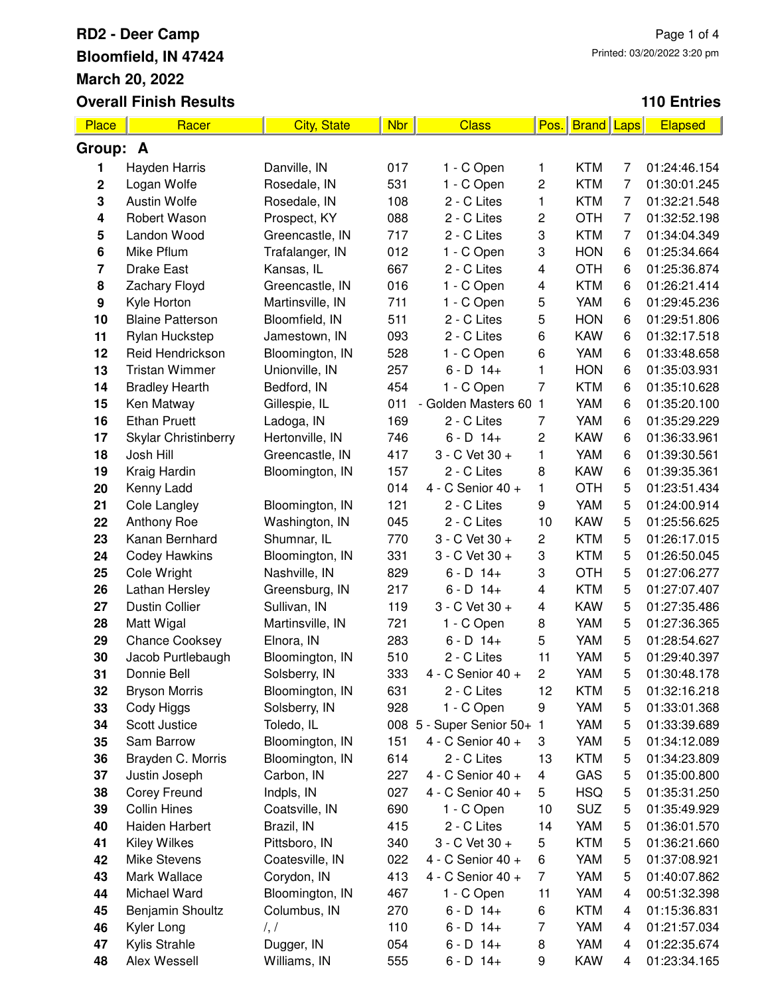| Place       | Racer                       | <b>City, State</b> | <b>Nbr</b> | <b>Class</b>               | Pos.                    | <b>Brand</b> Laps |                | <b>Elapsed</b> |
|-------------|-----------------------------|--------------------|------------|----------------------------|-------------------------|-------------------|----------------|----------------|
| Group: A    |                             |                    |            |                            |                         |                   |                |                |
| 1           | Hayden Harris               | Danville, IN       | 017        | 1 - C Open                 | 1                       | <b>KTM</b>        | 7              | 01:24:46.154   |
| $\mathbf 2$ | Logan Wolfe                 | Rosedale, IN       | 531        | 1 - C Open                 | 2                       | <b>KTM</b>        | 7              | 01:30:01.245   |
| 3           | <b>Austin Wolfe</b>         | Rosedale, IN       | 108        | 2 - C Lites                | 1                       | <b>KTM</b>        | 7              | 01:32:21.548   |
| 4           | Robert Wason                | Prospect, KY       | 088        | 2 - C Lites                | 2                       | <b>OTH</b>        | 7              | 01:32:52.198   |
| 5           | Landon Wood                 | Greencastle, IN    | 717        | 2 - C Lites                | 3                       | <b>KTM</b>        | $\overline{7}$ | 01:34:04.349   |
| 6           | Mike Pflum                  | Trafalanger, IN    | 012        | 1 - C Open                 | 3                       | <b>HON</b>        | 6              | 01:25:34.664   |
| 7           | <b>Drake East</b>           | Kansas, IL         | 667        | 2 - C Lites                | $\overline{\mathbf{4}}$ | <b>OTH</b>        | 6              | 01:25:36.874   |
| 8           | Zachary Floyd               | Greencastle, IN    | 016        | 1 - C Open                 | 4                       | <b>KTM</b>        | 6              | 01:26:21.414   |
| 9           | Kyle Horton                 | Martinsville, IN   | 711        | 1 - C Open                 | 5                       | YAM               | 6              | 01:29:45.236   |
| 10          | <b>Blaine Patterson</b>     | Bloomfield, IN     | 511        | 2 - C Lites                | 5                       | <b>HON</b>        | 6              | 01:29:51.806   |
| 11          | Rylan Huckstep              | Jamestown, IN      | 093        | 2 - C Lites                | 6                       | <b>KAW</b>        | 6              | 01:32:17.518   |
| 12          | Reid Hendrickson            | Bloomington, IN    | 528        | 1 - C Open                 | 6                       | YAM               | 6              | 01:33:48.658   |
| 13          | <b>Tristan Wimmer</b>       | Unionville, IN     | 257        | $6 - D$ 14+                | 1                       | <b>HON</b>        | 6              | 01:35:03.931   |
| 14          | <b>Bradley Hearth</b>       | Bedford, IN        | 454        | 1 - C Open                 | 7                       | <b>KTM</b>        | 6              | 01:35:10.628   |
| 15          | Ken Matway                  | Gillespie, IL      | 011        | Golden Masters 60          | $\mathbf{1}$            | YAM               | 6              | 01:35:20.100   |
| 16          | <b>Ethan Pruett</b>         | Ladoga, IN         | 169        | 2 - C Lites                | 7                       | YAM               | 6              | 01:35:29.229   |
| 17          | <b>Skylar Christinberry</b> | Hertonville, IN    | 746        | $6 - D$ 14+                | 2                       | <b>KAW</b>        | 6              | 01:36:33.961   |
| 18          | Josh Hill                   | Greencastle, IN    | 417        | 3 - C Vet 30 +             | 1                       | YAM               | 6              | 01:39:30.561   |
| 19          | Kraig Hardin                | Bloomington, IN    | 157        | 2 - C Lites                | 8                       | <b>KAW</b>        | 6              | 01:39:35.361   |
| 20          | Kenny Ladd                  |                    | 014        | 4 - C Senior 40 +          | 1                       | <b>OTH</b>        | 5              | 01:23:51.434   |
| 21          | Cole Langley                | Bloomington, IN    | 121        | 2 - C Lites                | 9                       | YAM               | 5              | 01:24:00.914   |
| 22          | Anthony Roe                 | Washington, IN     | 045        | 2 - C Lites                | 10                      | <b>KAW</b>        | 5              | 01:25:56.625   |
| 23          | Kanan Bernhard              | Shumnar, IL        | 770        | 3 - C Vet 30 +             | 2                       | <b>KTM</b>        | 5              | 01:26:17.015   |
| 24          | <b>Codey Hawkins</b>        | Bloomington, IN    | 331        | 3 - C Vet 30 +             | 3                       | <b>KTM</b>        | 5              | 01:26:50.045   |
| 25          | Cole Wright                 | Nashville, IN      | 829        | $6 - D$ 14+                | 3                       | <b>OTH</b>        | 5              | 01:27:06.277   |
| 26          | Lathan Hersley              | Greensburg, IN     | 217        | $6 - D$ 14+                | 4                       | <b>KTM</b>        | 5              | 01:27:07.407   |
| 27          | <b>Dustin Collier</b>       | Sullivan, IN       | 119        | 3 - C Vet 30 +             | $\overline{\mathbf{4}}$ | <b>KAW</b>        | 5              | 01:27:35.486   |
| 28          | Matt Wigal                  | Martinsville, IN   | 721        | 1 - C Open                 | 8                       | YAM               | 5              | 01:27:36.365   |
| 29          | <b>Chance Cooksey</b>       | Elnora, IN         | 283        | $6 - D$ 14+                | 5                       | YAM               | 5              | 01:28:54.627   |
| 30          | Jacob Purtlebaugh           | Bloomington, IN    | 510        | 2 - C Lites                | 11                      | YAM               | 5              | 01:29:40.397   |
| 31          | Donnie Bell                 | Solsberry, IN      | 333        | 4 - C Senior 40 +          | $\overline{c}$          | <b>YAM</b>        | 5              | 01:30:48.178   |
| 32          | <b>Bryson Morris</b>        | Bloomington, IN    | 631        | 2 - C Lites                | 12                      | <b>KTM</b>        | 5              | 01:32:16.218   |
| 33          | Cody Higgs                  | Solsberry, IN      | 928        | 1 - C Open                 | 9                       | YAM               | 5              | 01:33:01.368   |
| 34          | Scott Justice               | Toledo, IL         |            | 008 5 - Super Senior 50+ 1 |                         | YAM               | 5              | 01:33:39.689   |
| 35          | Sam Barrow                  | Bloomington, IN    | 151        | 4 - C Senior 40 +          | 3                       | YAM               | 5              | 01:34:12.089   |
| 36          | Brayden C. Morris           | Bloomington, IN    | 614        | 2 - C Lites                | 13                      | <b>KTM</b>        | 5              | 01:34:23.809   |
| 37          | Justin Joseph               | Carbon, IN         | 227        | 4 - C Senior 40 +          | 4                       | GAS               | 5              | 01:35:00.800   |
| 38          | <b>Corey Freund</b>         | Indpls, IN         | 027        | 4 - C Senior 40 +          | 5                       | <b>HSQ</b>        | 5              | 01:35:31.250   |
| 39          | <b>Collin Hines</b>         | Coatsville, IN     | 690        | 1 - C Open                 | 10                      | <b>SUZ</b>        | 5              | 01:35:49.929   |
| 40          | Haiden Harbert              | Brazil, IN         | 415        | 2 - C Lites                | 14                      | YAM               | 5              | 01:36:01.570   |
| 41          | <b>Kiley Wilkes</b>         | Pittsboro, IN      | 340        | 3 - C Vet 30 +             | 5                       | <b>KTM</b>        | 5              | 01:36:21.660   |
| 42          | <b>Mike Stevens</b>         | Coatesville, IN    | 022        | 4 - C Senior 40 +          | 6                       | YAM               | 5              | 01:37:08.921   |
| 43          | Mark Wallace                | Corydon, IN        | 413        | 4 - C Senior 40 +          | 7                       | YAM               | 5              | 01:40:07.862   |
| 44          | Michael Ward                | Bloomington, IN    | 467        | 1 - C Open                 | 11                      | YAM               | 4              | 00:51:32.398   |
| 45          | Benjamin Shoultz            | Columbus, IN       | 270        | $6 - D$ 14+                | 6                       | <b>KTM</b>        | 4              | 01:15:36.831   |
| 46          | Kyler Long                  | $\frac{1}{2}$      | 110        | $6 - D$ 14+                | 7                       | YAM               | 4              | 01:21:57.034   |
| 47          | Kylis Strahle               | Dugger, IN         | 054        | $6 - D$ 14+                | 8                       | YAM               | 4              | 01:22:35.674   |
| 48          | Alex Wessell                | Williams, IN       | 555        | $6 - D$ 14+                | 9                       | <b>KAW</b>        | 4              | 01:23:34.165   |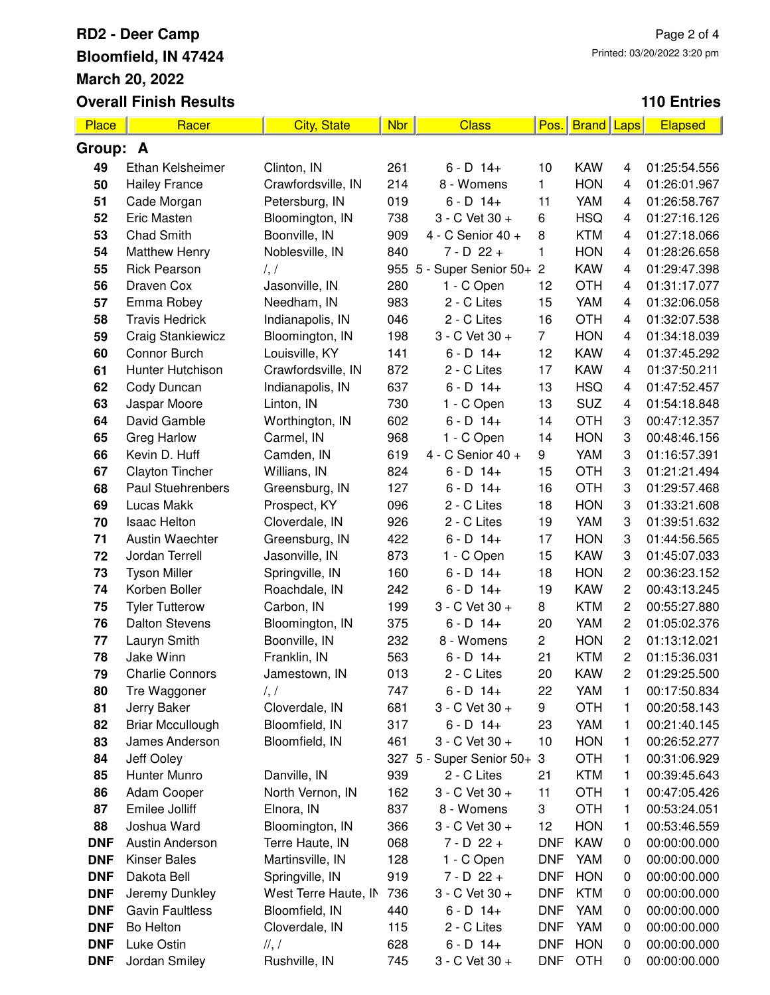| Place      | Racer                                     | <b>City, State</b>   | <b>Nbr</b> | <b>Class</b>                               | Pos.           | <b>Brand</b>             | Laps           | <b>Elapsed</b>               |
|------------|-------------------------------------------|----------------------|------------|--------------------------------------------|----------------|--------------------------|----------------|------------------------------|
| Group: A   |                                           |                      |            |                                            |                |                          |                |                              |
| 49         | Ethan Kelsheimer                          | Clinton, IN          | 261        | $6 - D$ 14+                                | 10             | <b>KAW</b>               | 4              | 01:25:54.556                 |
| 50         | <b>Hailey France</b>                      | Crawfordsville, IN   | 214        | 8 - Womens                                 | 1              | <b>HON</b>               | 4              | 01:26:01.967                 |
| 51         | Cade Morgan                               | Petersburg, IN       | 019        | $6 - D$ 14+                                | 11             | YAM                      | 4              | 01:26:58.767                 |
| 52         | <b>Eric Masten</b>                        | Bloomington, IN      | 738        | 3 - C Vet 30 +                             | 6              | <b>HSQ</b>               | 4              | 01:27:16.126                 |
| 53         | Chad Smith                                | Boonville, IN        | 909        | 4 - C Senior 40 +                          | 8              | <b>KTM</b>               | 4              | 01:27:18.066                 |
| 54         | <b>Matthew Henry</b>                      | Noblesville, IN      | 840        | $7 - D$ 22 +                               | 1              | <b>HON</b>               | 4              | 01:28:26.658                 |
| 55         | <b>Rick Pearson</b>                       | $\frac{1}{2}$        |            | 955 5 - Super Senior 50+ 2                 |                | <b>KAW</b>               | 4              | 01:29:47.398                 |
| 56         | Draven Cox                                | Jasonville, IN       | 280        | 1 - C Open                                 | 12             | <b>OTH</b>               | 4              | 01:31:17.077                 |
| 57         | Emma Robey                                | Needham, IN          | 983        | 2 - C Lites                                | 15             | YAM                      | 4              | 01:32:06.058                 |
| 58         | <b>Travis Hedrick</b>                     | Indianapolis, IN     | 046        | 2 - C Lites                                | 16             | <b>OTH</b>               | 4              | 01:32:07.538                 |
| 59         | <b>Craig Stankiewicz</b>                  | Bloomington, IN      | 198        | 3 - C Vet 30 +                             | 7              | <b>HON</b>               | 4              | 01:34:18.039                 |
| 60         | Connor Burch                              | Louisville, KY       | 141        | $6 - D$ 14+                                | 12             | <b>KAW</b>               | 4              | 01:37:45.292                 |
| 61         | Hunter Hutchison                          | Crawfordsville, IN   | 872        | 2 - C Lites                                | 17             | <b>KAW</b>               | 4              | 01:37:50.211                 |
| 62         | Cody Duncan                               | Indianapolis, IN     | 637        | $6 - D$ 14+                                | 13             | <b>HSQ</b>               | 4              | 01:47:52.457                 |
| 63         | Jaspar Moore                              | Linton, IN           | 730        | 1 - C Open                                 | 13             | <b>SUZ</b>               | 4              | 01:54:18.848                 |
| 64         | David Gamble                              | Worthington, IN      | 602        | $6 - D$ 14+                                | 14             | <b>OTH</b>               | 3              | 00:47:12.357                 |
| 65         | <b>Greg Harlow</b>                        | Carmel, IN           | 968        | 1 - C Open                                 | 14             | <b>HON</b>               | 3              | 00:48:46.156                 |
| 66         | Kevin D. Huff                             | Camden, IN           | 619        | 4 - C Senior 40 +                          | 9              | YAM                      | 3              | 01:16:57.391                 |
| 67         | Clayton Tincher                           | Willians, IN         | 824        | $6 - D$ 14+                                | 15             | <b>OTH</b>               | 3              | 01:21:21.494                 |
| 68         | <b>Paul Stuehrenbers</b>                  | Greensburg, IN       | 127        | $6 - D$ 14+                                | 16             | <b>OTH</b>               | 3              | 01:29:57.468                 |
| 69         | Lucas Makk                                | Prospect, KY         | 096        | 2 - C Lites                                | 18             | <b>HON</b>               | 3              | 01:33:21.608                 |
| 70         | <b>Isaac Helton</b>                       | Cloverdale, IN       | 926        | 2 - C Lites                                | 19             | YAM                      | 3              | 01:39:51.632                 |
| 71         | <b>Austin Waechter</b>                    | Greensburg, IN       | 422        | $6 - D$ 14+                                | 17             | <b>HON</b>               | 3              | 01:44:56.565                 |
| 72         | Jordan Terrell                            | Jasonville, IN       | 873        | 1 - C Open                                 | 15             | <b>KAW</b>               | 3              | 01:45:07.033                 |
| 73         | <b>Tyson Miller</b>                       | Springville, IN      | 160        | $6 - D$ 14+                                | 18             | <b>HON</b>               | $\overline{c}$ | 00:36:23.152                 |
| 74         | Korben Boller                             | Roachdale, IN        | 242        | $6 - D$ 14+                                | 19             | <b>KAW</b>               | $\overline{c}$ | 00:43:13.245                 |
| 75         | <b>Tyler Tutterow</b>                     | Carbon, IN           | 199        | 3 - C Vet 30 +                             | 8              | <b>KTM</b>               | $\overline{c}$ | 00:55:27.880                 |
| 76         | <b>Dalton Stevens</b>                     | Bloomington, IN      | 375        | $6 - D$ 14+                                | 20             | YAM                      | $\overline{c}$ | 01:05:02.376                 |
| 77         | Lauryn Smith                              | Boonville, IN        | 232        | 8 - Womens                                 | $\overline{c}$ | <b>HON</b>               | $\overline{c}$ | 01:13:12.021                 |
| 78         | Jake Winn                                 | Franklin, IN         | 563        | $6 - D$ 14+                                | 21             | <b>KTM</b>               | $\overline{c}$ | 01:15:36.031                 |
| 79         | <b>Charlie Connors</b>                    | Jamestown, IN        | 013        | 2 - C Lites                                | 20             | <b>KAW</b>               | 2              | 01:29:25.500                 |
| 80         | Tre Waggoner                              | $\frac{1}{2}$        | 747        | $6 - D$ 14+                                | 22             | YAM                      | 1              | 00:17:50.834                 |
| 81         | Jerry Baker                               | Cloverdale, IN       | 681        | 3 - C Vet 30 +                             | 9              | <b>OTH</b>               | 1              | 00:20:58.143                 |
| 82         | <b>Briar Mccullough</b><br>James Anderson | Bloomfield, IN       | 317        | $6 - D$ 14+                                | 23             | YAM                      | 1              | 00:21:40.145                 |
| 83<br>84   | Jeff Ooley                                | Bloomfield, IN       | 461        | 3 - C Vet 30 +<br>327 5 - Super Senior 50+ | 10<br>3        | <b>HON</b><br><b>OTH</b> | 1              | 00:26:52.277<br>00:31:06.929 |
| 85         | Hunter Munro                              | Danville, IN         | 939        | 2 - C Lites                                | 21             | <b>KTM</b>               | 1<br>1         | 00:39:45.643                 |
| 86         | Adam Cooper                               | North Vernon, IN     | 162        | 3 - C Vet 30 +                             | 11             | <b>OTH</b>               | 1              | 00:47:05.426                 |
| 87         | Emilee Jolliff                            | Elnora, IN           | 837        | 8 - Womens                                 | 3              | <b>OTH</b>               | 1              | 00:53:24.051                 |
| 88         | Joshua Ward                               | Bloomington, IN      | 366        | 3 - C Vet 30 +                             | 12             | <b>HON</b>               | 1              | 00:53:46.559                 |
| <b>DNF</b> | <b>Austin Anderson</b>                    | Terre Haute, IN      | 068        | $7 - D$ 22 +                               | <b>DNF</b>     | <b>KAW</b>               | 0              | 00:00:00.000                 |
| <b>DNF</b> | <b>Kinser Bales</b>                       | Martinsville, IN     | 128        | 1 - C Open                                 | <b>DNF</b>     | <b>YAM</b>               | 0              | 00:00:00.000                 |
| <b>DNF</b> | Dakota Bell                               | Springville, IN      | 919        | $7 - D$ 22 +                               | <b>DNF</b>     | <b>HON</b>               | 0              | 00:00:00.000                 |
| <b>DNF</b> | Jeremy Dunkley                            | West Terre Haute, IN | 736        | 3 - C Vet 30 +                             | <b>DNF</b>     | <b>KTM</b>               | 0              | 00:00:00.000                 |
| <b>DNF</b> | <b>Gavin Faultless</b>                    | Bloomfield, IN       | 440        | $6 - D$ 14+                                | <b>DNF</b>     | YAM                      | 0              | 00:00:00.000                 |
| <b>DNF</b> | Bo Helton                                 | Cloverdale, IN       | 115        | 2 - C Lites                                | <b>DNF</b>     | <b>YAM</b>               | 0              | 00:00:00.000                 |
| <b>DNF</b> | Luke Ostin                                | ,                    | 628        | $6 - D$ 14+                                | <b>DNF</b>     | <b>HON</b>               | 0              | 00:00:00.000                 |
| <b>DNF</b> | Jordan Smiley                             | Rushville, IN        | 745        | 3 - C Vet 30 +                             | <b>DNF</b>     | <b>OTH</b>               | 0              | 00:00:00.000                 |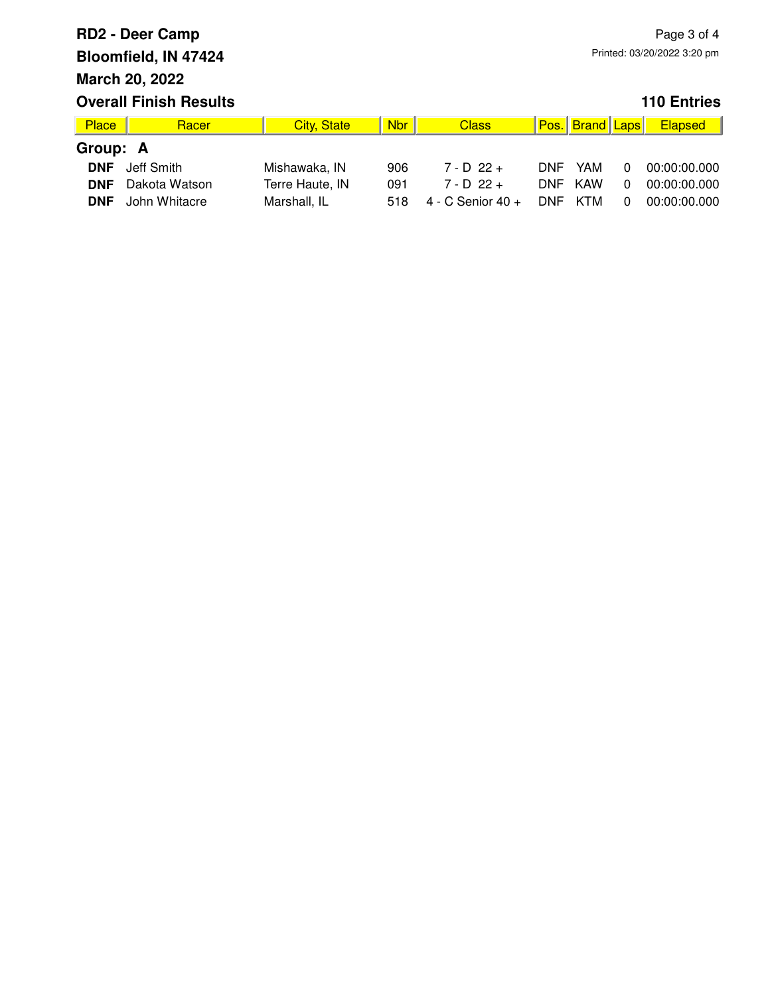| Place      | Racer         | <b>City, State</b> | <b>Nbr</b> | <b>Class</b>      |            | Pos. Brand Laps |              | Elapsed      |  |
|------------|---------------|--------------------|------------|-------------------|------------|-----------------|--------------|--------------|--|
| Group: A   |               |                    |            |                   |            |                 |              |              |  |
| <b>DNF</b> | Jeff Smith    | Mishawaka, IN      | 906        | $7 - D$ 22 +      | <b>DNF</b> | YAM             | $\Omega$     | 00:00:00.000 |  |
| <b>DNF</b> | Dakota Watson | Terre Haute, IN    | 091        | $7 - D 22 +$      | DNF.       | KAW             | <sup>n</sup> | 00:00:00.000 |  |
| <b>DNF</b> | John Whitacre | Marshall, IL       | 518        | 4 - C Senior 40 + | <b>DNF</b> | KTM             | <sup>n</sup> | 00:00:00.000 |  |